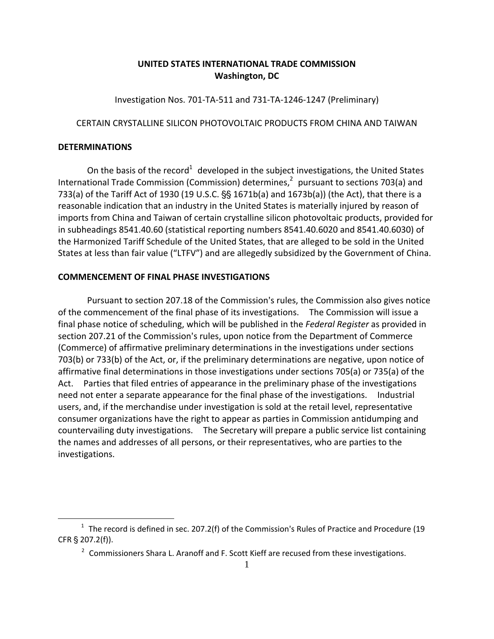# **UNITED STATES INTERNATIONAL TRADE COMMISSION Washington, DC**

Investigation Nos. 701‐TA‐511 and 731‐TA‐1246‐1247 (Preliminary)

### CERTAIN CRYSTALLINE SILICON PHOTOVOLTAIC PRODUCTS FROM CHINA AND TAIWAN

### **DETERMINATIONS**

 $\overline{a}$ 

On the basis of the record<sup>1</sup> developed in the subject investigations, the United States International Trade Commission (Commission) determines,<sup>2</sup> pursuant to sections 703(a) and 733(a) of the Tariff Act of 1930 (19 U.S.C.  $\S$  1671b(a) and 1673b(a)) (the Act), that there is a reasonable indication that an industry in the United States is materially injured by reason of imports from China and Taiwan of certain crystalline silicon photovoltaic products, provided for in subheadings 8541.40.60 (statistical reporting numbers 8541.40.6020 and 8541.40.6030) of the Harmonized Tariff Schedule of the United States, that are alleged to be sold in the United States at less than fair value ("LTFV") and are allegedly subsidized by the Government of China.

## **COMMENCEMENT OF FINAL PHASE INVESTIGATIONS**

Pursuant to section 207.18 of the Commission's rules, the Commission also gives notice of the commencement of the final phase of its investigations. The Commission will issue a final phase notice of scheduling, which will be published in the *Federal Register* as provided in section 207.21 of the Commission's rules, upon notice from the Department of Commerce (Commerce) of affirmative preliminary determinations in the investigations under sections 703(b) or 733(b) of the Act, or, if the preliminary determinations are negative, upon notice of affirmative final determinations in those investigations under sections 705(a) or 735(a) of the Act. Parties that filed entries of appearance in the preliminary phase of the investigations need not enter a separate appearance for the final phase of the investigations. Industrial users, and, if the merchandise under investigation is sold at the retail level, representative consumer organizations have the right to appear as parties in Commission antidumping and countervailing duty investigations. The Secretary will prepare a public service list containing the names and addresses of all persons, or their representatives, who are parties to the investigations.

 $1$  The record is defined in sec. 207.2(f) of the Commission's Rules of Practice and Procedure (19  $CFR \$  207.2(f)).

<sup>&</sup>lt;sup>2</sup> Commissioners Shara L. Aranoff and F. Scott Kieff are recused from these investigations.